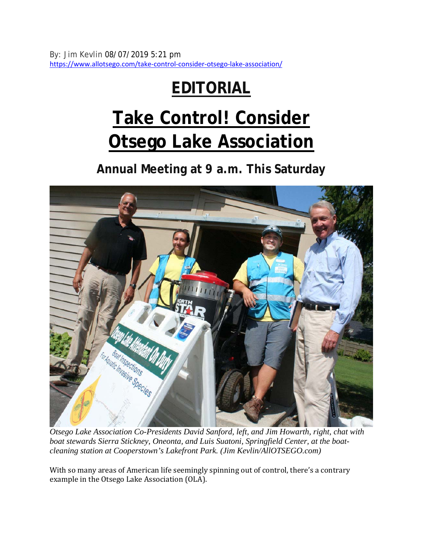By: Jim Kevlin 08/07/2019 5:21 pm https://www.allotsego.com/take-control-consider-otsego-lake-association/

## **EDITORIAL**

## **Take Control! Consider Otsego Lake Association**

**Annual Meeting at 9 a.m. This Saturday** 



*Otsego Lake Association Co-Presidents David Sanford, left, and Jim Howarth, right, chat with boat stewards Sierra Stickney, Oneonta, and Luis Suatoni, Springfield Center, at the boatcleaning station at Cooperstown's Lakefront Park. (Jim Kevlin/AllOTSEGO.com)*

With so many areas of American life seemingly spinning out of control, there's a contrary example in the Otsego Lake Association (OLA).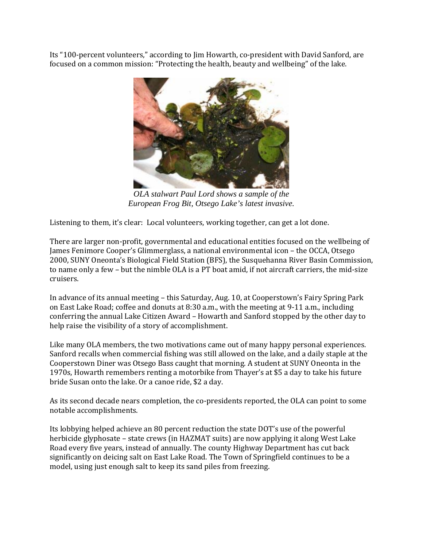Its "100-percent volunteers," according to Jim Howarth, co-president with David Sanford, are focused on a common mission: "Protecting the health, beauty and wellbeing" of the lake.



*OLA stalwart Paul Lord shows a sample of the European Frog Bit, Otsego Lake's latest invasive.* 

Listening to them, it's clear: Local volunteers, working together, can get a lot done.

There are larger non-profit, governmental and educational entities focused on the wellbeing of James Fenimore Cooper's Glimmerglass, a national environmental icon – the OCCA, Otsego 2000, SUNY Oneonta's Biological Field Station (BFS), the Susquehanna River Basin Commission, to name only a few – but the nimble OLA is a PT boat amid, if not aircraft carriers, the mid-size cruisers.

In advance of its annual meeting – this Saturday, Aug. 10, at Cooperstown's Fairy Spring Park on East Lake Road; coffee and donuts at 8:30 a.m., with the meeting at 9-11 a.m., including conferring the annual Lake Citizen Award – Howarth and Sanford stopped by the other day to help raise the visibility of a story of accomplishment.

Like many OLA members, the two motivations came out of many happy personal experiences. Sanford recalls when commercial fishing was still allowed on the lake, and a daily staple at the Cooperstown Diner was Otsego Bass caught that morning. A student at SUNY Oneonta in the 1970s, Howarth remembers renting a motorbike from Thayer's at \$5 a day to take his future bride Susan onto the lake. Or a canoe ride, \$2 a day.

As its second decade nears completion, the co-presidents reported, the OLA can point to some notable accomplishments.

Its lobbying helped achieve an 80 percent reduction the state DOT's use of the powerful herbicide glyphosate – state crews (in HAZMAT suits) are now applying it along West Lake Road every five years, instead of annually. The county Highway Department has cut back significantly on deicing salt on East Lake Road. The Town of Springfield continues to be a model, using just enough salt to keep its sand piles from freezing.